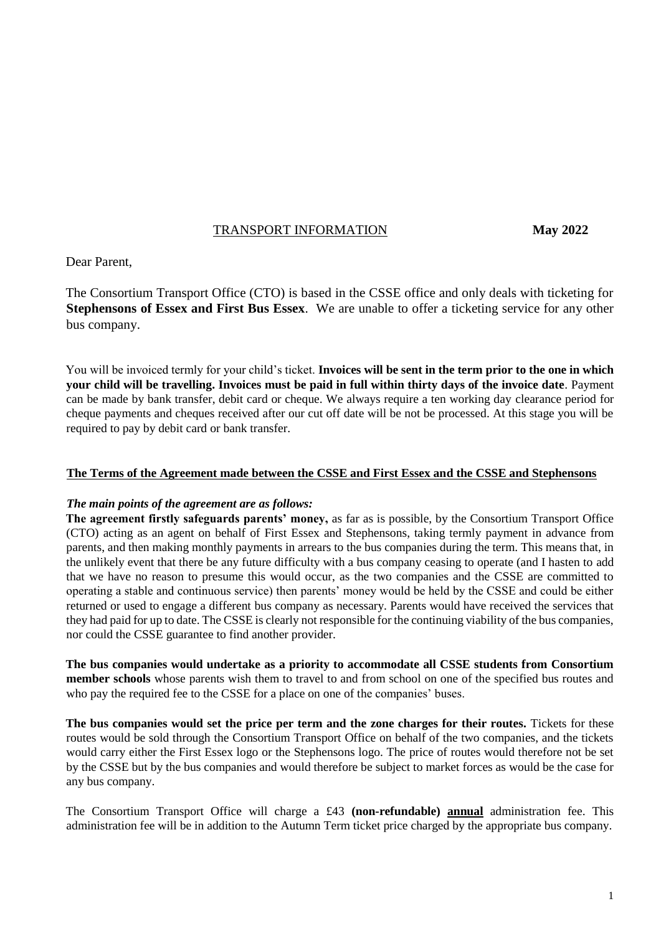# TRANSPORT INFORMATION **May 2022**

Dear Parent,

The Consortium Transport Office (CTO) is based in the CSSE office and only deals with ticketing for **Stephensons of Essex and First Bus Essex**. We are unable to offer a ticketing service for any other bus company.

You will be invoiced termly for your child's ticket. **Invoices will be sent in the term prior to the one in which your child will be travelling. Invoices must be paid in full within thirty days of the invoice date**. Payment can be made by bank transfer, debit card or cheque. We always require a ten working day clearance period for cheque payments and cheques received after our cut off date will be not be processed. At this stage you will be required to pay by debit card or bank transfer.

### **The Terms of the Agreement made between the CSSE and First Essex and the CSSE and Stephensons**

### *The main points of the agreement are as follows:*

**The agreement firstly safeguards parents' money,** as far as is possible, by the Consortium Transport Office (CTO) acting as an agent on behalf of First Essex and Stephensons, taking termly payment in advance from parents, and then making monthly payments in arrears to the bus companies during the term. This means that, in the unlikely event that there be any future difficulty with a bus company ceasing to operate (and I hasten to add that we have no reason to presume this would occur, as the two companies and the CSSE are committed to operating a stable and continuous service) then parents' money would be held by the CSSE and could be either returned or used to engage a different bus company as necessary. Parents would have received the services that they had paid for up to date. The CSSE is clearly not responsible for the continuing viability of the bus companies, nor could the CSSE guarantee to find another provider.

**The bus companies would undertake as a priority to accommodate all CSSE students from Consortium member schools** whose parents wish them to travel to and from school on one of the specified bus routes and who pay the required fee to the CSSE for a place on one of the companies' buses.

**The bus companies would set the price per term and the zone charges for their routes.** Tickets for these routes would be sold through the Consortium Transport Office on behalf of the two companies, and the tickets would carry either the First Essex logo or the Stephensons logo. The price of routes would therefore not be set by the CSSE but by the bus companies and would therefore be subject to market forces as would be the case for any bus company.

The Consortium Transport Office will charge a £43 **(non-refundable) annual** administration fee. This administration fee will be in addition to the Autumn Term ticket price charged by the appropriate bus company.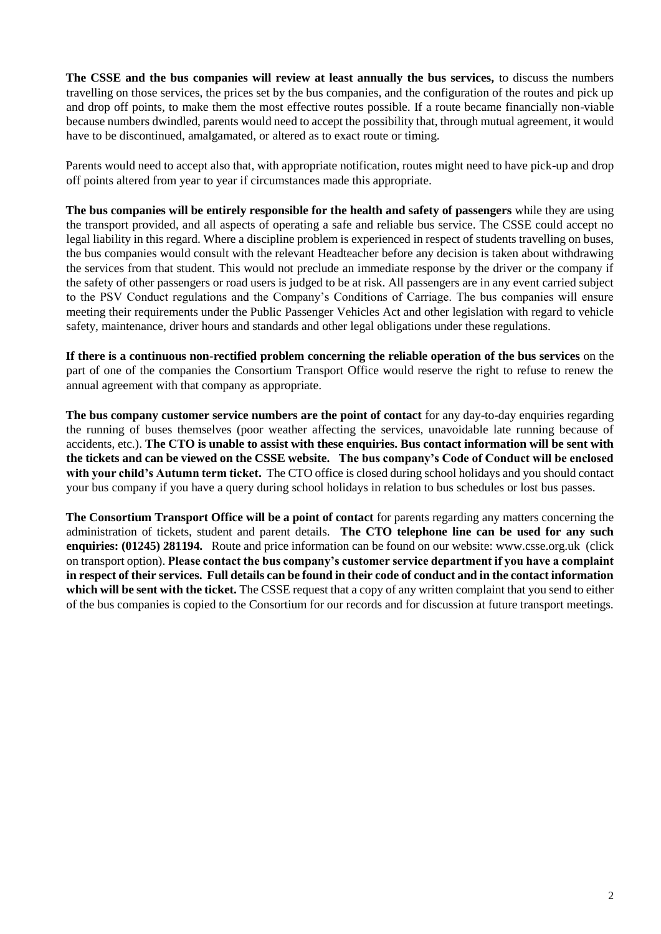**The CSSE and the bus companies will review at least annually the bus services,** to discuss the numbers travelling on those services, the prices set by the bus companies, and the configuration of the routes and pick up and drop off points, to make them the most effective routes possible. If a route became financially non-viable because numbers dwindled, parents would need to accept the possibility that, through mutual agreement, it would have to be discontinued, amalgamated, or altered as to exact route or timing.

Parents would need to accept also that, with appropriate notification, routes might need to have pick-up and drop off points altered from year to year if circumstances made this appropriate.

**The bus companies will be entirely responsible for the health and safety of passengers** while they are using the transport provided, and all aspects of operating a safe and reliable bus service. The CSSE could accept no legal liability in this regard. Where a discipline problem is experienced in respect of students travelling on buses, the bus companies would consult with the relevant Headteacher before any decision is taken about withdrawing the services from that student. This would not preclude an immediate response by the driver or the company if the safety of other passengers or road users is judged to be at risk. All passengers are in any event carried subject to the PSV Conduct regulations and the Company's Conditions of Carriage. The bus companies will ensure meeting their requirements under the Public Passenger Vehicles Act and other legislation with regard to vehicle safety, maintenance, driver hours and standards and other legal obligations under these regulations.

**If there is a continuous non-rectified problem concerning the reliable operation of the bus services** on the part of one of the companies the Consortium Transport Office would reserve the right to refuse to renew the annual agreement with that company as appropriate.

**The bus company customer service numbers are the point of contact** for any day-to-day enquiries regarding the running of buses themselves (poor weather affecting the services, unavoidable late running because of accidents, etc.). **The CTO is unable to assist with these enquiries. Bus contact information will be sent with the tickets and can be viewed on the CSSE website. The bus company's Code of Conduct will be enclosed with your child's Autumn term ticket.** The CTO office is closed during school holidays and you should contact your bus company if you have a query during school holidays in relation to bus schedules or lost bus passes.

**The Consortium Transport Office will be a point of contact** for parents regarding any matters concerning the administration of tickets, student and parent details. **The CTO telephone line can be used for any such enquiries: (01245) 281194.** Route and price information can be found on our website: www.csse.org.uk (click on transport option). **Please contact the bus company's customer service department if you have a complaint in respect of their services. Full details can be found in their code of conduct and in the contact information which will be sent with the ticket.** The CSSE request that a copy of any written complaint that you send to either of the bus companies is copied to the Consortium for our records and for discussion at future transport meetings.